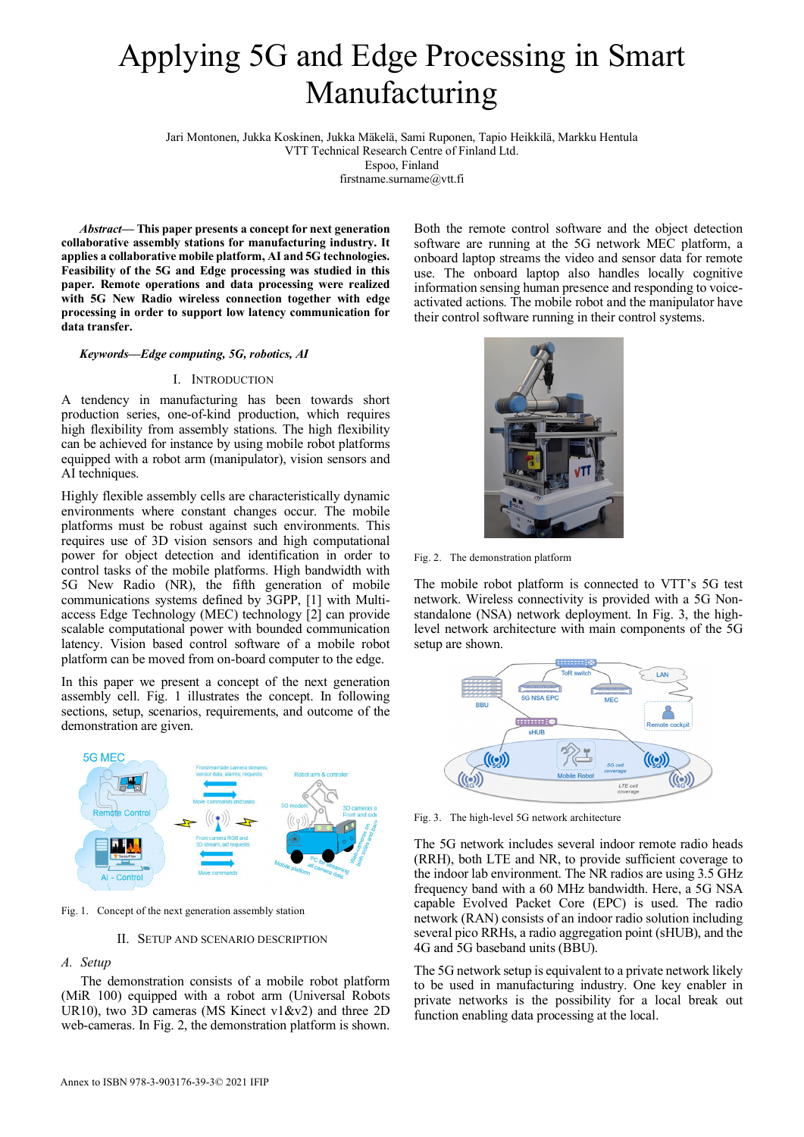# Applying 5G and Edge Processing in Smart Manufacturing

Jari Montonen, Jukka Koskinen, Jukka Mäkelä, Sami Ruponen, Tapio Heikkilä, Markku Hentula

VTT Technical Research Centre of Finland Ltd.

Espoo, Finland

firstname.surname@vtt.fi

*Abstract***— This paper presents a concept for next generation collaborative assembly stations for manufacturing industry. It applies a collaborative mobile platform, AI and 5G technologies. Feasibility of the 5G and Edge processing was studied in this paper. Remote operations and data processing were realized with 5G New Radio wireless connection together with edge processing in order to support low latency communication for data transfer.**

#### *Keywords—Edge computing, 5G, robotics, AI*

## I. INTRODUCTION

A tendency in manufacturing has been towards short production series, one-of-kind production, which requires high flexibility from assembly stations. The high flexibility can be achieved for instance by using mobile robot platforms equipped with a robot arm (manipulator), vision sensors and AI techniques.

Highly flexible assembly cells are characteristically dynamic environments where constant changes occur. The mobile platforms must be robust against such environments. This requires use of 3D vision sensors and high computational power for object detection and identification in order to control tasks of the mobile platforms. High bandwidth with 5G New Radio (NR), the fifth generation of mobile communications systems defined by 3GPP, [1] with Multiaccess Edge Technology (MEC) technology [2] can provide scalable computational power with bounded communication latency. Vision based control software of a mobile robot platform can be moved from on-board computer to the edge.

In this paper we present a concept of the next generation assembly cell. Fig. 1 illustrates the concept. In following sections, setup, scenarios, requirements, and outcome of the demonstration are given.



Fig. 1. Concept of the next generation assembly station

II. SETUP AND SCENARIO DESCRIPTION

## *A. Setup*

The demonstration consists of a mobile robot platform (MiR 100) equipped with a robot arm (Universal Robots UR10), two 3D cameras (MS Kinect v1&v2) and three 2D web-cameras. In Fig. 2, the demonstration platform is shown.

Both the remote control software and the object detection software are running at the 5G network MEC platform, a onboard laptop streams the video and sensor data for remote use. The onboard laptop also handles locally cognitive information sensing human presence and responding to voiceactivated actions. The mobile robot and the manipulator have their control software running in their control systems.



Fig. 2. The demonstration platform

The mobile robot platform is connected to VTT's 5G test network. Wireless connectivity is provided with a 5G Nonstandalone (NSA) network deployment. In Fig. 3, the highlevel network architecture with main components of the 5G setup are shown.



Fig. 3. The high-level 5G network architecture

The 5G network includes several indoor remote radio heads (RRH), both LTE and NR, to provide sufficient coverage to the indoor lab environment. The NR radios are using 3.5 GHz frequency band with a 60 MHz bandwidth. Here, a 5G NSA capable Evolved Packet Core (EPC) is used. The radio network (RAN) consists of an indoor radio solution including several pico RRHs, a radio aggregation point (sHUB), and the 4G and 5G baseband units (BBU).

The 5G network setup is equivalent to a private network likely to be used in manufacturing industry. One key enabler in private networks is the possibility for a local break out function enabling data processing at the local.